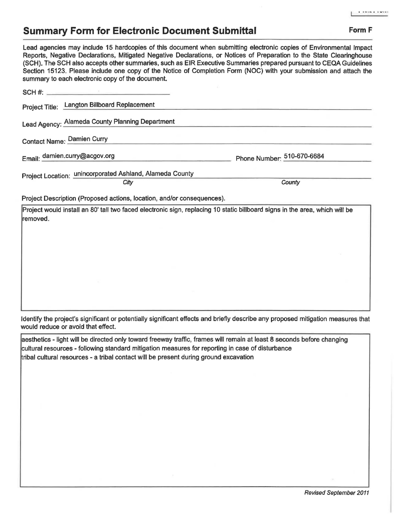## **Summary Form for Electronic Document Submittal Form F Form F**

Lead agencies may include 15 hardcopies of this document when submitting electronic copies of Environmental Impact Reports, Negative Declarations, Mitigated Negative Declarations, or Notices of Preparation to the State Clearinghouse (SCH). The SCH also accepts other summaries, such as EIR Executive Summaries prepared pursuant to CEQA Guidelines Section 15123. Please include one copy of the Notice of Completion Form (NOC) with your submission and attach the summary to each electronic copy of the document.

| Project Title: Langton Billboard Replacement                                                                                            |                            |
|-----------------------------------------------------------------------------------------------------------------------------------------|----------------------------|
| Lead Agency: Alameda County Planning Department                                                                                         |                            |
| <b>Contact Name: Damien Curry</b>                                                                                                       |                            |
| Email: damien.curry@acgov.org                                                                                                           | Phone Number: 510-670-6684 |
| Project Location: unincorporated Ashland, Alameda County                                                                                |                            |
| City                                                                                                                                    | County                     |
| Project Description (Proposed actions, location, and/or consequences).                                                                  |                            |
| Project would install an 80' tall two faced electronic sign, replacing 10 static billboard signs in the area, which will be<br>removed. |                            |
|                                                                                                                                         |                            |
|                                                                                                                                         |                            |
|                                                                                                                                         |                            |
|                                                                                                                                         |                            |

Identify the project's significant or potentially significant effects and briefly describe any proposed mitigation measures that would reduce or avoid that effect.

aesthetics - light will be directed only toward freeway traffic, frames will remain at least 8 seconds before changing cultural resources - following standard mitigation measures for reporting in case of disturbance tribal cultural resources - a tribal contact will be present during ground excavation